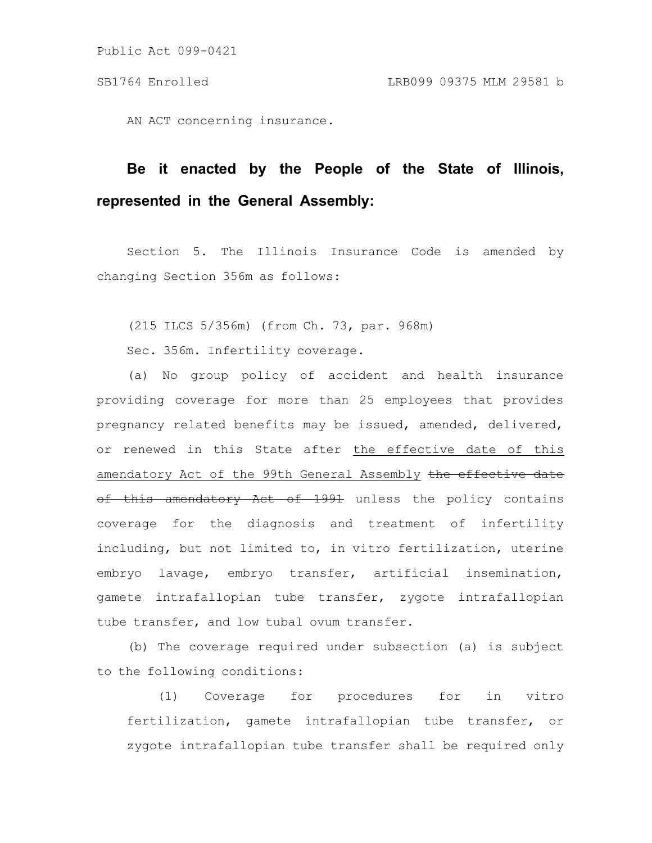Public Act 099-0421

AN ACT concerning insurance.

## **Be it enacted by the People of the State of Illinois, represented in the General Assembly:**

Section 5. The Illinois Insurance Code is amended by changing Section 356m as follows:

(215 ILCS 5/356m) (from Ch. 73, par. 968m)

Sec. 356m. Infertility coverage.

(a) No group policy of accident and health insurance providing coverage for more than 25 employees that provides pregnancy related benefits may be issued, amended, delivered, or renewed in this State after the effective date of this amendatory Act of the 99th General Assembly the effective date of this amendatory Act of 1991 unless the policy contains coverage for the diagnosis and treatment of infertility including, but not limited to, in vitro fertilization, uterine embryo lavage, embryo transfer, artificial insemination, gamete intrafallopian tube transfer, zygote intrafallopian tube transfer, and low tubal ovum transfer.

(b) The coverage required under subsection (a) is subject to the following conditions:

(1) Coverage for procedures for in vitro fertilization, gamete intrafallopian tube transfer, or zygote intrafallopian tube transfer shall be required only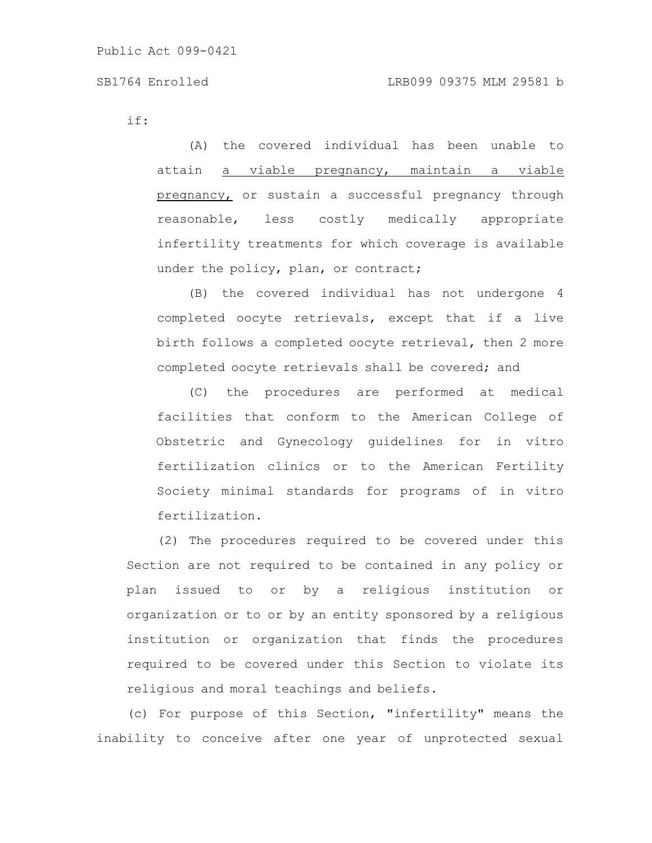if:

(A) the covered individual has been unable to attain a viable pregnancy, maintain a viable pregnancy, or sustain a successful pregnancy through reasonable, less costly medically appropriate infertility treatments for which coverage is available under the policy, plan, or contract;

(B) the covered individual has not undergone 4 completed oocyte retrievals, except that if a live birth follows a completed oocyte retrieval, then 2 more completed oocyte retrievals shall be covered; and

(C) the procedures are performed at medical facilities that conform to the American College of Obstetric and Gynecology guidelines for in vitro fertilization clinics or to the American Fertility Society minimal standards for programs of in vitro fertilization.

(2) The procedures required to be covered under this Section are not required to be contained in any policy or plan issued to or by a religious institution or organization or to or by an entity sponsored by a religious institution or organization that finds the procedures required to be covered under this Section to violate its religious and moral teachings and beliefs.

(c) For purpose of this Section, "infertility" means the inability to conceive after one year of unprotected sexual